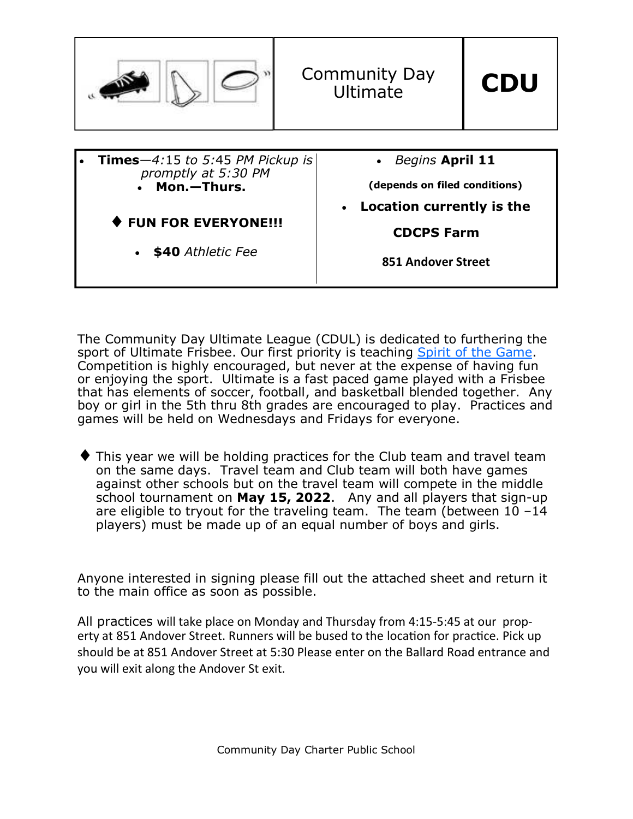

The Community Day Ultimate League (CDUL) is dedicated to furthering the sport of Ultimate Frisbee. Our first priority is teaching Spirit of the Game. Competition is highly encouraged, but never at the expense of having fun or enjoying the sport. Ultimate is a fast paced game played with a Frisbee that has elements of soccer, football, and basketball blended together. Any boy or girl in the 5th thru 8th grades are encouraged to play. Practices and games will be held on Wednesdays and Fridays for everyone.

This year we will be holding practices for the Club team and travel team on the same days. Travel team and Club team will both have games against other schools but on the travel team will compete in the middle school tournament on **May 15, 2022**. Any and all players that sign-up are eligible to tryout for the traveling team. The team (between  $10 - 14$ players) must be made up of an equal number of boys and girls.

Anyone interested in signing please fill out the attached sheet and return it to the main office as soon as possible.

All practices will take place on Monday and Thursday from 4:15-5:45 at our property at 851 Andover Street. Runners will be bused to the location for practice. Pick up should be at 851 Andover Street at 5:30 Please enter on the Ballard Road entrance and you will exit along the Andover St exit.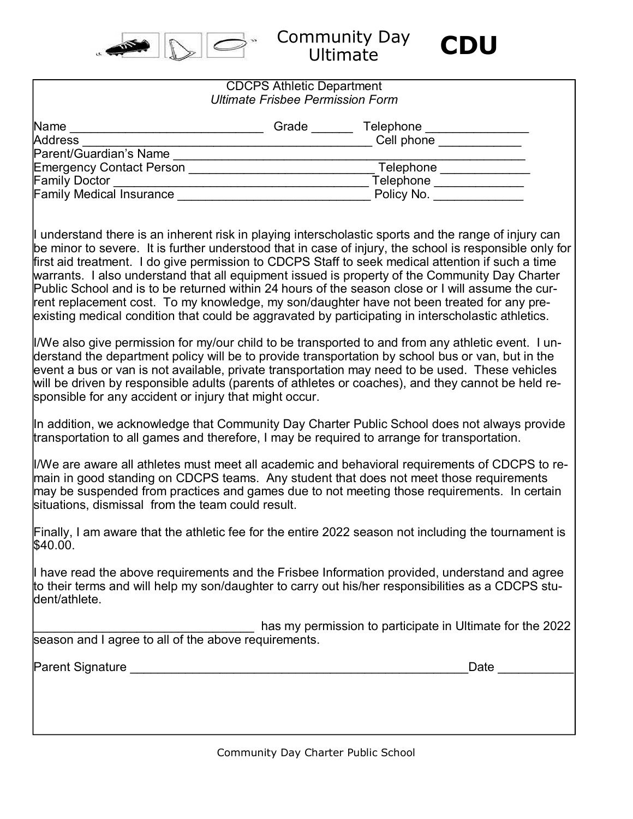

Community Day Ultimate **CDU** 



| <b>CDCPS Athletic Department</b><br><b>Ultimate Frisbee Permission Form</b>                                                                                                                                                                                                                                                                                                                                                                                                                                                                                                                                                                                                                                                     |                                                           |  |
|---------------------------------------------------------------------------------------------------------------------------------------------------------------------------------------------------------------------------------------------------------------------------------------------------------------------------------------------------------------------------------------------------------------------------------------------------------------------------------------------------------------------------------------------------------------------------------------------------------------------------------------------------------------------------------------------------------------------------------|-----------------------------------------------------------|--|
|                                                                                                                                                                                                                                                                                                                                                                                                                                                                                                                                                                                                                                                                                                                                 |                                                           |  |
|                                                                                                                                                                                                                                                                                                                                                                                                                                                                                                                                                                                                                                                                                                                                 |                                                           |  |
|                                                                                                                                                                                                                                                                                                                                                                                                                                                                                                                                                                                                                                                                                                                                 |                                                           |  |
|                                                                                                                                                                                                                                                                                                                                                                                                                                                                                                                                                                                                                                                                                                                                 |                                                           |  |
|                                                                                                                                                                                                                                                                                                                                                                                                                                                                                                                                                                                                                                                                                                                                 |                                                           |  |
|                                                                                                                                                                                                                                                                                                                                                                                                                                                                                                                                                                                                                                                                                                                                 |                                                           |  |
|                                                                                                                                                                                                                                                                                                                                                                                                                                                                                                                                                                                                                                                                                                                                 |                                                           |  |
| I understand there is an inherent risk in playing interscholastic sports and the range of injury can<br>be minor to severe. It is further understood that in case of injury, the school is responsible only for<br>first aid treatment. I do give permission to CDCPS Staff to seek medical attention if such a time<br>warrants. I also understand that all equipment issued is property of the Community Day Charter<br>Public School and is to be returned within 24 hours of the season close or I will assume the cur-<br>rent replacement cost. To my knowledge, my son/daughter have not been treated for any pre-<br>existing medical condition that could be aggravated by participating in interscholastic athletics. |                                                           |  |
| I/We also give permission for my/our child to be transported to and from any athletic event. I un-<br>derstand the department policy will be to provide transportation by school bus or van, but in the<br>event a bus or van is not available, private transportation may need to be used. These vehicles<br>will be driven by responsible adults (parents of athletes or coaches), and they cannot be held re-<br>sponsible for any accident or injury that might occur.                                                                                                                                                                                                                                                      |                                                           |  |
| In addition, we acknowledge that Community Day Charter Public School does not always provide<br>transportation to all games and therefore, I may be required to arrange for transportation.                                                                                                                                                                                                                                                                                                                                                                                                                                                                                                                                     |                                                           |  |
| I/We are aware all athletes must meet all academic and behavioral requirements of CDCPS to re-<br>main in good standing on CDCPS teams. Any student that does not meet those requirements<br>may be suspended from practices and games due to not meeting those requirements. In certain<br>situations, dismissal from the team could result.                                                                                                                                                                                                                                                                                                                                                                                   |                                                           |  |
| Finally, I am aware that the athletic fee for the entire 2022 season not including the tournament is<br>\$40.00.                                                                                                                                                                                                                                                                                                                                                                                                                                                                                                                                                                                                                |                                                           |  |
| I have read the above requirements and the Frisbee Information provided, understand and agree<br>to their terms and will help my son/daughter to carry out his/her responsibilities as a CDCPS stu-<br>dent/athlete.                                                                                                                                                                                                                                                                                                                                                                                                                                                                                                            |                                                           |  |
| season and I agree to all of the above requirements.                                                                                                                                                                                                                                                                                                                                                                                                                                                                                                                                                                                                                                                                            | has my permission to participate in Ultimate for the 2022 |  |
|                                                                                                                                                                                                                                                                                                                                                                                                                                                                                                                                                                                                                                                                                                                                 | Date                                                      |  |
|                                                                                                                                                                                                                                                                                                                                                                                                                                                                                                                                                                                                                                                                                                                                 |                                                           |  |
|                                                                                                                                                                                                                                                                                                                                                                                                                                                                                                                                                                                                                                                                                                                                 |                                                           |  |

Community Day Charter Public School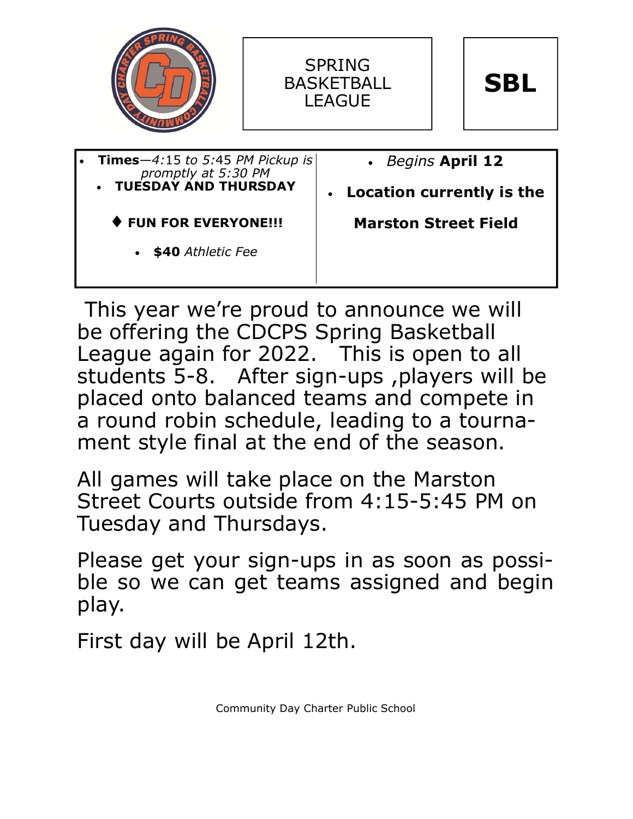





| <b>Times</b> $-4:15$ to 5:45 PM Pickup is<br>promptly at 5:30 PM | • Begins April 12           |
|------------------------------------------------------------------|-----------------------------|
| <b>TUESDAY AND THURSDAY</b>                                      | • Location currently is the |
| ♦ FUN FOR EVERYONE !!!                                           | <b>Marston Street Field</b> |
| • \$40 Athletic Fee                                              |                             |
|                                                                  |                             |

This year we're proud to announce we will be offering the CDCPS Spring Basketball League again for 2022. This is open to all students 5-8. After sign-ups ,players will be placed onto balanced teams and compete in a round robin schedule, leading to a tournament style final at the end of the season.

All games will take place on the Marston Street Courts outside from 4:15-5:45 PM on Tuesday and Thursdays.

Please get your sign-ups in as soon as possible so we can get teams assigned and begin play.

First day will be April 12th.

Community Day Charter Public School